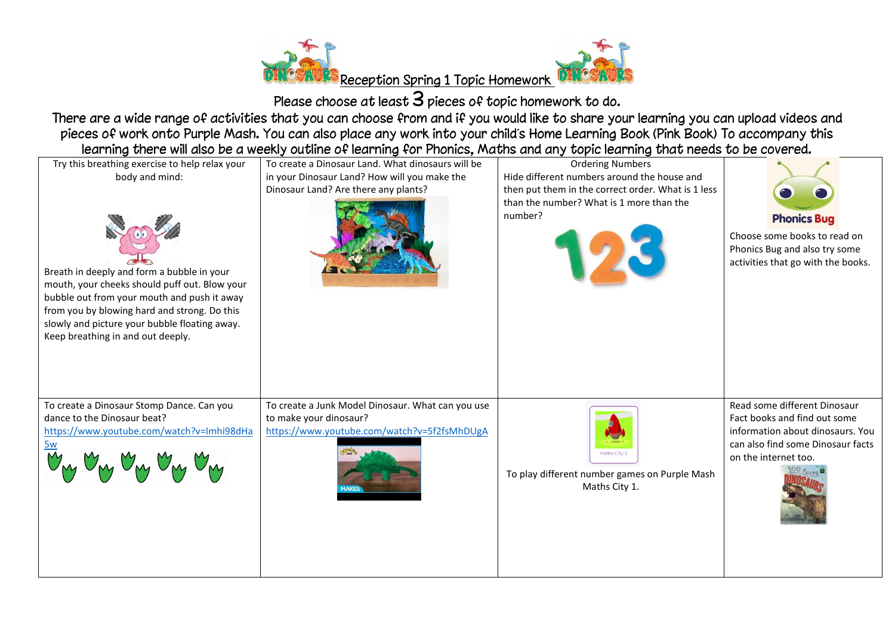

Please choose at least  $3$  pieces of topic homework to do.

There are a wide range of activities that you can choose from and if you would like to share your learning you can upload videos and pieces of work onto Purple Mash. You can also place any work into your child's Home Learning Book (Pink Book) To accompany this learning there will also be a weekly outline of learning for Phonics, Maths and any topic learning that needs to be covered.